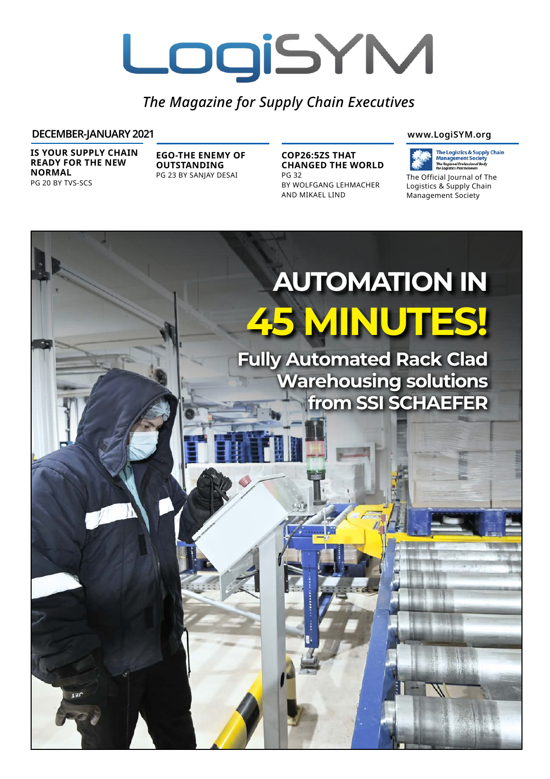# LogiSYM

*The Magazine for Supply Chain Executives*

# **DECEMBER-JANUARY 2021 www.LogiSYM.org**

**IS YOUR SUPPLY CHAIN READY FOR THE NEW NORMAL** PG 20 BY TVS-SCS

**EGO-THE ENEMY OF OUTSTANDING** PG 23 BY SANJAY DESAI

**COP26:5ZS THAT CHANGED THE WORLD** PG 32

BY WOLFGANG LEHMACHER AND MIKAEL LIND



The Official Journal of The Logistics & Supply Chain Management Society

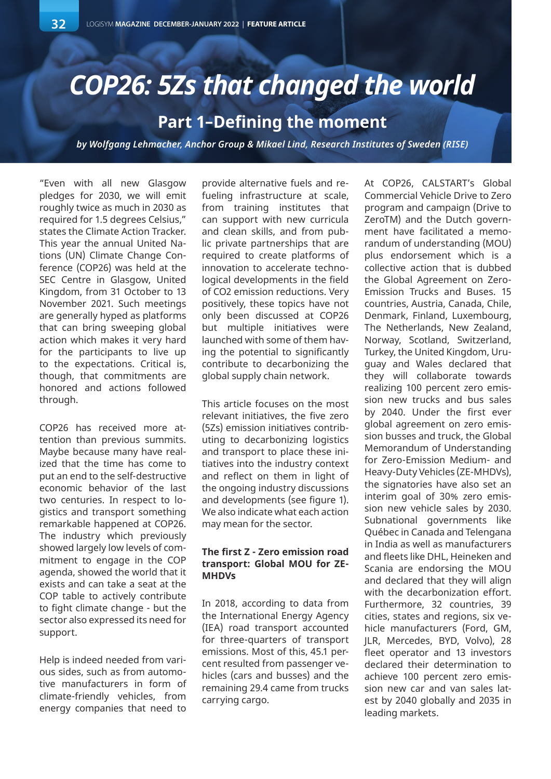# *COP26: 5Zs that changed the world*

# **Part 1–Defining the moment**

*by Wolfgang Lehmacher, Anchor Group & Mikael Lind, Research Institutes of Sweden (RISE)*

"Even with all new Glasgow pledges for 2030, we will emit roughly twice as much in 2030 as required for 1.5 degrees Celsius," states the Climate Action Tracker. This year the annual United Nations (UN) Climate Change Conference (COP26) was held at the SEC Centre in Glasgow, United Kingdom, from 31 October to 13 November 2021. Such meetings are generally hyped as platforms that can bring sweeping global action which makes it very hard for the participants to live up to the expectations. Critical is, though, that commitments are honored and actions followed through.

COP26 has received more attention than previous summits. Maybe because many have realized that the time has come to put an end to the self-destructive economic behavior of the last two centuries. In respect to logistics and transport something remarkable happened at COP26. The industry which previously showed largely low levels of commitment to engage in the COP agenda, showed the world that it exists and can take a seat at the COP table to actively contribute to fight climate change - but the sector also expressed its need for support.

Help is indeed needed from various sides, such as from automotive manufacturers in form of climate-friendly vehicles, from energy companies that need to

provide alternative fuels and refueling infrastructure at scale, from training institutes that can support with new curricula and clean skills, and from public private partnerships that are required to create platforms of innovation to accelerate technological developments in the field of CO2 emission reductions. Very positively, these topics have not only been discussed at COP26 but multiple initiatives were launched with some of them having the potential to significantly contribute to decarbonizing the global supply chain network.

This article focuses on the most relevant initiatives, the five zero (5Zs) emission initiatives contributing to decarbonizing logistics and transport to place these initiatives into the industry context and reflect on them in light of the ongoing industry discussions and developments (see figure 1). We also indicate what each action may mean for the sector.

# **The first Z - Zero emission road transport: Global MOU for ZE-MHDVs**

In 2018, according to data from the International Energy Agency (IEA) road transport accounted for three-quarters of transport emissions. Most of this, 45.1 percent resulted from passenger vehicles (cars and busses) and the remaining 29.4 came from trucks carrying cargo.

At COP26, CALSTART's Global Commercial Vehicle Drive to Zero program and campaign (Drive to ZeroTM) and the Dutch government have facilitated a memorandum of understanding (MOU) plus endorsement which is a collective action that is dubbed the Global Agreement on Zero-Emission Trucks and Buses. 15 countries, Austria, Canada, Chile, Denmark, Finland, Luxembourg, The Netherlands, New Zealand, Norway, Scotland, Switzerland, Turkey, the United Kingdom, Uruguay and Wales declared that they will collaborate towards realizing 100 percent zero emission new trucks and bus sales by 2040. Under the first ever global agreement on zero emission busses and truck, the Global Memorandum of Understanding for Zero-Emission Medium- and Heavy-Duty Vehicles (ZE-MHDVs), the signatories have also set an interim goal of 30% zero emission new vehicle sales by 2030. Subnational governments like Québec in Canada and Telengana in India as well as manufacturers and fleets like DHL, Heineken and Scania are endorsing the MOU and declared that they will align with the decarbonization effort. Furthermore, 32 countries, 39 cities, states and regions, six vehicle manufacturers (Ford, GM, JLR, Mercedes, BYD, Volvo), 28 fleet operator and 13 investors declared their determination to achieve 100 percent zero emission new car and van sales latest by 2040 globally and 2035 in leading markets.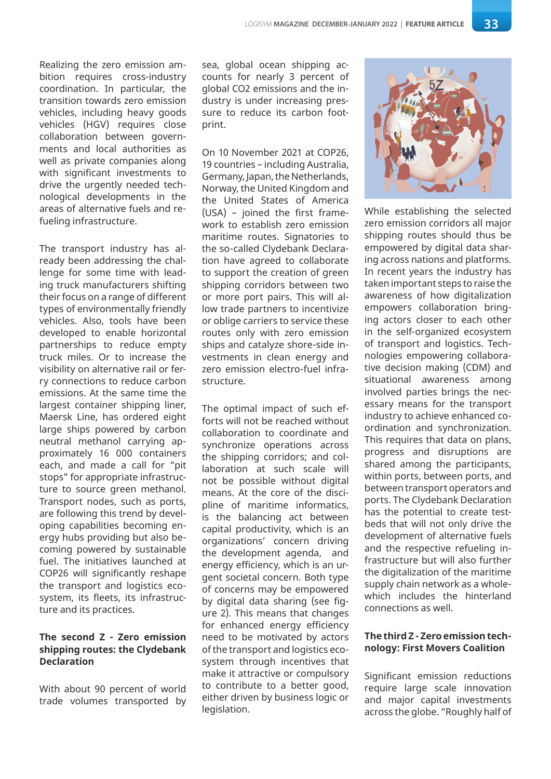Realizing the zero emission ambition requires cross-industry coordination. In particular, the transition towards zero emission vehicles, including heavy goods vehicles (HGV) requires close collaboration between governments and local authorities as well as private companies along with significant investments to drive the urgently needed technological developments in the areas of alternative fuels and refueling infrastructure.

The transport industry has already been addressing the challenge for some time with leading truck manufacturers shifting their focus on a range of different types of environmentally friendly vehicles. Also, tools have been developed to enable horizontal partnerships to reduce empty truck miles. Or to increase the visibility on alternative rail or ferry connections to reduce carbon emissions. At the same time the largest container shipping liner, Maersk Line, has ordered eight large ships powered by carbon neutral methanol carrying approximately 16 000 containers each, and made a call for "pit stops" for appropriate infrastructure to source green methanol. Transport nodes, such as ports, are following this trend by developing capabilities becoming energy hubs providing but also becoming powered by sustainable fuel. The initiatives launched at COP26 will significantly reshape the transport and logistics ecosystem, its fleets, its infrastructure and its practices.

### **The second Z - Zero emission shipping routes: the Clydebank Declaration**

With about 90 percent of world trade volumes transported by

sea, global ocean shipping accounts for nearly 3 percent of global CO2 emissions and the industry is under increasing pressure to reduce its carbon footprint.

On 10 November 2021 at COP26, 19 countries – including Australia, Germany, Japan, the Netherlands, Norway, the United Kingdom and the United States of America (USA) – joined the first framework to establish zero emission maritime routes. Signatories to the so-called Clydebank Declaration have agreed to collaborate to support the creation of green shipping corridors between two or more port pairs. This will allow trade partners to incentivize or oblige carriers to service these routes only with zero emission ships and catalyze shore-side investments in clean energy and zero emission electro-fuel infrastructure.

The optimal impact of such efforts will not be reached without collaboration to coordinate and synchronize operations across the shipping corridors; and collaboration at such scale will not be possible without digital means. At the core of the discipline of maritime informatics, is the balancing act between capital productivity, which is an organizations' concern driving the development agenda, and energy efficiency, which is an urgent societal concern. Both type of concerns may be empowered by digital data sharing (see figure 2). This means that changes for enhanced energy efficiency need to be motivated by actors of the transport and logistics ecosystem through incentives that make it attractive or compulsory to contribute to a better good, either driven by business logic or legislation.



While establishing the selected zero emission corridors all major shipping routes should thus be empowered by digital data sharing across nations and platforms. In recent years the industry has taken important steps to raise the awareness of how digitalization empowers collaboration bringing actors closer to each other in the self-organized ecosystem of transport and logistics. Technologies empowering collaborative decision making (CDM) and situational awareness among involved parties brings the necessary means for the transport industry to achieve enhanced coordination and synchronization. This requires that data on plans, progress and disruptions are shared among the participants, within ports, between ports, and between transport operators and ports. The Clydebank Declaration has the potential to create testbeds that will not only drive the development of alternative fuels and the respective refueling infrastructure but will also further the digitalization of the maritime supply chain network as a wholewhich includes the hinterland connections as well.

#### **The third Z - Zero emission technology: First Movers Coalition**

Significant emission reductions require large scale innovation and major capital investments across the globe. "Roughly half of